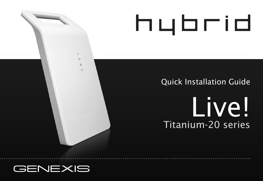# hybrid

## Quick Installation Guide

## Live! Titanium-20 series

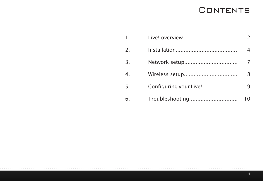## **CONTENTS**

| $\mathbf{1}$ .   | Live! overview         |    |
|------------------|------------------------|----|
| $\overline{z}$   |                        |    |
| $\overline{3}$ . | Network setup          |    |
| 4                | Wireless setup         |    |
| 5.               | Configuring your Live! |    |
| 6.               | Troubleshooting        | 10 |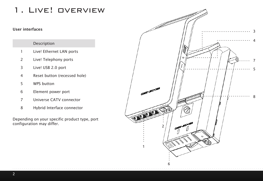## 1. Live! overview

#### User interfaces

#### Description

- Live! Ethernet LAN ports
- Live! Telephony ports
- Live! USB 2.0 port
- Reset button (recessed hole)
- WPS button
- Element power port
- Universe CATV connector
- Hybrid Interface connector

Depending on your specific product type, port configuration may differ.

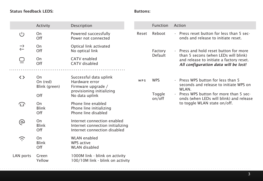#### Status feedback LEDS:

J

#### Buttons:

|           | Activity                        | Description                                                                                     |       | <b>Function</b>    | Action                                                                                                   |                                                                                |
|-----------|---------------------------------|-------------------------------------------------------------------------------------------------|-------|--------------------|----------------------------------------------------------------------------------------------------------|--------------------------------------------------------------------------------|
| U)        | On<br>Off                       | Powered successfully<br>Power not connected                                                     | Reset | Reboot             | . Press reset button for less than 5 sec-<br>onds and release to initiate reset.                         |                                                                                |
| ⇄         | On<br>Off                       | Optical link activated<br>No optical link                                                       |       | Factory<br>Default |                                                                                                          | . Press and hold reset button for more<br>than 5 secons (when LEDs will blink) |
|           | On<br>Off                       | CATV enabled<br>CATV disabled                                                                   |       |                    | and release to initiate a factory reset.<br>All configuration data will be lost!                         |                                                                                |
| くゝ        | On<br>On (red)<br>Blink (green) | Successful data uplink<br>Hardware error<br>Firmware upgrade /<br>provisioning initializing     | WPS   | <b>WPS</b>         | . Press WPS button for less than 5<br>seconds and release to initiate WPS on<br>WLAN.                    |                                                                                |
|           | Off                             | No data uplink                                                                                  |       | Toggle<br>on/off   | Press WPS button for more than 5 sec-<br>$\ddot{\phantom{0}}$<br>onds (when LEDs will blink) and release |                                                                                |
| 77        | On<br>Blink<br>Off              | Phone line enabled<br>Phone line initializing<br>Phone line disabled                            |       |                    | to toggle WLAN state on/off.                                                                             |                                                                                |
| ⊚         | On<br>Blink<br>Off              | Internet connection enabled<br>Internet connection initializing<br>Internet connection disabled |       |                    |                                                                                                          |                                                                                |
| Ξ         | On<br>Blink<br>Off              | <b>WLAN</b> enabled<br>WPS active<br><b>WLAN</b> disabled                                       |       |                    |                                                                                                          |                                                                                |
| LAN ports | Green<br>Yellow                 | 1000M link - blink on activity<br>100/10M link - blink on activity                              |       |                    |                                                                                                          |                                                                                |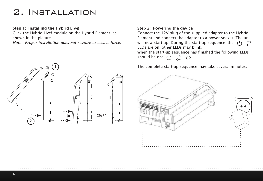## 2. Installation

#### Step 1: Installing the Hybrid Live!

Click the Hybrid Live! module on the Hybrid Element, as shown in the picture.

*Note: Proper installation does not require excessive force.* 



#### Step 2: Powering the device

Connect the 12V plug of the supplied adapter to the Hybrid Element and connect the adapter to a power socket. The unit will now start up. During the start-up sequence the  $(1)$  $\overrightarrow{ }$ LEDs are on, other LEDs may blink.

When the start-up sequence has finished the following LEDs should be on:  $(1)$   $\rightarrow$   $($ 

The complete start-up sequence may take several minutes.

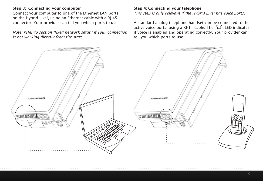#### Step 3: Connecting your computer

Connect your computer to one of the Ethernet LAN ports on the Hybrid Live!, using an Ethernet cable with a RJ-45 connector. Your provider can tell you which ports to use.

*Note: refer to section "fixed network setup" if your connection is not working directly from the start.* 

#### Step 4: Connecting your telephone

*This step is only relevant if the Hybrid Live! has voice ports.*

A standard analog telephone handset can be connected to the active voice ports, using a RJ-11 cable. The  $\widehat{\Delta}$  LED indicates if voice is enabled and operating correctly. Your provider can tell you which ports to use.

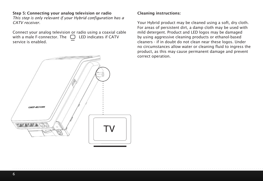#### Step 5: Connecting your analog television or radio

*This step is only relevant if your Hybrid configuration has a CATV receiver.* 

Connect your analog television or radio using a coaxial cable with a male F-connector. The  $\Box$  LED indicates if CATV service is enabled.



#### Cleaning instructions:

Your Hybrid product may be cleaned using a soft, dry cloth. For areas of persistent dirt, a damp cloth may be used with mild detergent. Product and LED logos may be damaged by using aggressive cleaning products or ethanol-based cleaners - if in doubt do not clean near these logos. Under no circumstances allow water or cleaning fluid to ingress the product, as this may cause permanent damage and prevent correct operation.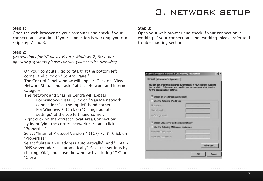### 3. network setup

#### Step 1:

Open the web browser on your computer and check if your connection is working. If your connection is working, you can skip step 2 and 3.

#### Step 2:

*(Instructions for Windows Vista / Windows 7; for other operating systems please contact your service provider)*

- On your computer, go to "Start" at the bottom left corner and click on "Control Panel".
- The Control Panel window will appear. Click on "View Network Status and Tasks" at the "Network and Internet" category.
- • The Network and Sharing Centre will appear:
	- • For Windows Vista: Click on "Manage network connections" at the top left hand corner.
	- For Windows 7: Click on "Change adapter settings" at the top left hand corner.
- Right click on the correct "Local Area Connection" by identifying the correct network card and click "Properties".
- Select "Internet Protocol Version 4 (TCP/IPv4)". Click on "Properties"
- Select "Obtain an IP address automatically", and "Obtain DNS server address automatically". Save the settings by clicking "OK", and close the window by clicking "OK" or "Close".

#### Step 3:

Open your web browser and check if your connection is working. If your connection is not working, please refer to the troubleshooting section.

| General Alternate Configuration<br>You can get IP settings assigned automatically if your network supports.<br>this capability. Otherwise, you need to ask your network administrator<br>for the appropriate IP settings. |  |  |          |  |
|---------------------------------------------------------------------------------------------------------------------------------------------------------------------------------------------------------------------------|--|--|----------|--|
| Obtain an IP address automatically                                                                                                                                                                                        |  |  |          |  |
| C Use the following IP address:                                                                                                                                                                                           |  |  |          |  |
| IP address:                                                                                                                                                                                                               |  |  |          |  |
| Subnet-masks                                                                                                                                                                                                              |  |  |          |  |
| Default gateway:                                                                                                                                                                                                          |  |  |          |  |
| <b>6</b> Obtain DNS server address automatically                                                                                                                                                                          |  |  |          |  |
| C Use the following DNS server addresses:                                                                                                                                                                                 |  |  |          |  |
| Preferred DNS servers                                                                                                                                                                                                     |  |  |          |  |
| Alternate DNS servers                                                                                                                                                                                                     |  |  |          |  |
|                                                                                                                                                                                                                           |  |  | Advanced |  |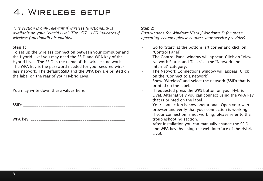## 4. Wireless setup

*This section is only relevant if wireless functionality is available on your Hybrid Live!. The LED indicates if wireless functionality is enabled.*

#### Step 1:

To set up the wireless connection between your computer and the Hybrid Live! you may need the SSID and WPA key of the Hybrid Live!. The SSID is the name of the wireless network. The WPA key is the password needed for your secured wireless network. The default SSID and the WPA key are printed on the label on the rear of your Hybrid Live!.

You may write down these values here:

SSID: \_\_\_\_\_\_\_\_\_\_\_\_\_\_\_\_\_\_\_\_\_\_\_\_\_\_\_\_\_\_\_\_\_\_\_\_\_\_\_\_\_\_\_\_\_\_\_\_\_\_\_\_\_

WPA key: \_\_\_\_\_\_\_\_\_\_\_\_\_\_\_\_\_\_\_\_\_\_\_\_\_\_\_\_\_\_\_\_\_\_\_\_\_\_\_\_\_\_\_\_\_\_\_\_\_

#### Step 2:

*(Instructions for Windows Vista / Windows 7; for other operating systems please contact your service provider)*

- Go to "Start" at the bottom left corner and click on "Control Panel".
- • The Control Panel window will appear. Click on "View Network Status and Tasks" at the "Network and Internet" category.
- • The Network Connections window will appear. Click on the "Connect to a network".
- • Show "Wireless" and select the network (SSID) that is printed on the label.
- • If requested press the WPS button on your Hybrid Live!. Alternatively you can connect using the WPA key that is printed on the label.
- Your connection is now operational. Open your web browser and verify that your connection is working. If your connection is not working, please refer to the troubleshooting section.
- After installation you can manually change the SSID and WPA key, by using the web-interface of the Hybrid Live!.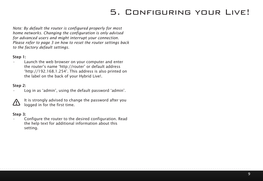## 5. Configuring your Live!

*Note: By default the router is configured properly for most home networks. Changing the configuration is only advised for advanced users and might interrupt your connection. Please refer to page 3 on how to reset the router settings back to the factory default settings.*

#### Step 1:

Launch the web browser on your computer and enter the router's name 'http://router' or default address 'http://192.168.1.254'. This address is also printed on the label on the back of your Hybrid Live!.

#### Step 2:

Log in as 'admin', using the default password 'admin'.



It is strongly advised to change the password after you logged in for the first time.

#### Step 3:

Configure the router to the desired configuration. Read the help text for additional information about this setting.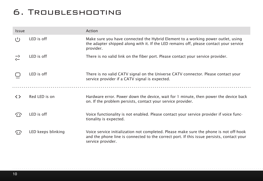## 6. Troubleshooting

| Issue         |                   | Action                                                                                                                                                                                  |
|---------------|-------------------|-----------------------------------------------------------------------------------------------------------------------------------------------------------------------------------------|
| (1)           | LED is off        | Make sure you have connected the Hybrid Element to a working power outlet, using<br>the adapter shipped along with it. If the LED remains off, please contact your service<br>provider. |
| $\rightarrow$ | <b>IFD</b> is off | There is no valid link on the fiber port. Please contact your service provider.                                                                                                         |
|               | LED is off        | There is no valid CATV signal on the Universe CATV connector. Please contact your<br>service provider if a CATV signal is expected.                                                     |
|               |                   |                                                                                                                                                                                         |
| ◇             | Red LED is on     | Hardware error. Power down the device, wait for 1 minute, then power the device back<br>on. If the problem persists, contact your service provider.                                     |
|               | LED is off        | Voice functionality is not enabled. Please contact your service provider if voice func-<br>tionality is expected.                                                                       |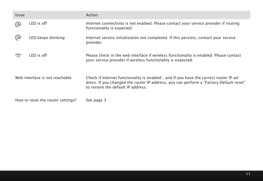| Issue |                                   | Action                                                                                                                                                                                                                |
|-------|-----------------------------------|-----------------------------------------------------------------------------------------------------------------------------------------------------------------------------------------------------------------------|
| ര     | LED is off                        | Internet connectivity is not enabled. Please contact your service provider if routing<br>functionality is expected.                                                                                                   |
| (လ    | LED keeps blinking                | Internet service initialization not completed. If this persists, contact your service<br>provider.                                                                                                                    |
| ລ     | LED is off                        | Please check in the web interface if wireless functionality is enabled. Please contact<br>your service provider if wireless functionality is expected.                                                                |
|       | Web interface is not reachable    | Check if Internet functionality is enabled, and if you have the correct router IP ad-<br>dress. If you changed the router IP address, you can perform a "Factory Default reset"<br>to restore the default IP address. |
|       | How to reset the router settings? | See page 3                                                                                                                                                                                                            |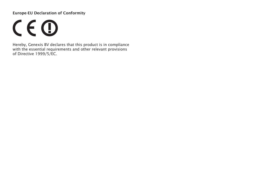#### Europe-EU Declaration of Conformity

 $C \in \mathbb{O}$ 

Hereby, Genexis BV declares that this product is in compliance with the essential requirements and other relevant provisions of Directive 1999/5/EC.